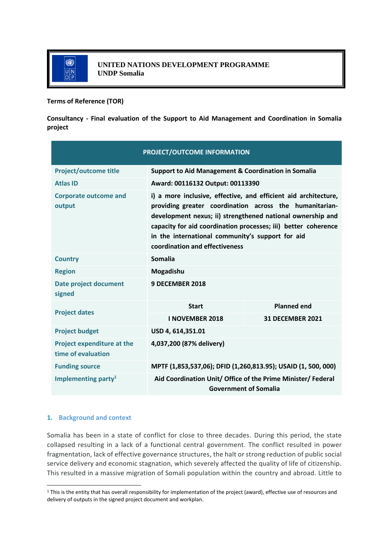

**Terms of Reference (TOR)**

**Consultancy - Final evaluation of the Support to Aid Management and Coordination in Somalia project**

| PROJECT/OUTCOME INFORMATION                             |                                                                                                                                                                                                                                                                                                                                                  |                         |  |
|---------------------------------------------------------|--------------------------------------------------------------------------------------------------------------------------------------------------------------------------------------------------------------------------------------------------------------------------------------------------------------------------------------------------|-------------------------|--|
| <b>Project/outcome title</b>                            | <b>Support to Aid Management &amp; Coordination in Somalia</b>                                                                                                                                                                                                                                                                                   |                         |  |
| <b>Atlas ID</b>                                         | Award: 00116132 Output: 00113390                                                                                                                                                                                                                                                                                                                 |                         |  |
| <b>Corporate outcome and</b><br>output                  | i) a more inclusive, effective, and efficient aid architecture,<br>providing greater coordination across the humanitarian-<br>development nexus; ii) strengthened national ownership and<br>capacity for aid coordination processes; iii) better coherence<br>in the international community's support for aid<br>coordination and effectiveness |                         |  |
| <b>Country</b>                                          | Somalia                                                                                                                                                                                                                                                                                                                                          |                         |  |
| <b>Region</b>                                           | Mogadishu                                                                                                                                                                                                                                                                                                                                        |                         |  |
| Date project document<br>signed                         | 9 DECEMBER 2018                                                                                                                                                                                                                                                                                                                                  |                         |  |
| <b>Project dates</b>                                    | <b>Start</b>                                                                                                                                                                                                                                                                                                                                     | <b>Planned end</b>      |  |
|                                                         | <b>I NOVEMBER 2018</b>                                                                                                                                                                                                                                                                                                                           | <b>31 DECEMBER 2021</b> |  |
| <b>Project budget</b>                                   | USD 4, 614,351.01                                                                                                                                                                                                                                                                                                                                |                         |  |
| <b>Project expenditure at the</b><br>time of evaluation | 4,037,200 (87% delivery)                                                                                                                                                                                                                                                                                                                         |                         |  |
| <b>Funding source</b>                                   | MPTF (1,853,537,06); DFID (1,260,813.95); USAID (1, 500, 000)                                                                                                                                                                                                                                                                                    |                         |  |
| Implementing party <sup>1</sup>                         | Aid Coordination Unit/ Office of the Prime Minister/ Federal<br><b>Government of Somalia</b>                                                                                                                                                                                                                                                     |                         |  |

# **1. Background and context**

Somalia has been in a state of conflict for close to three decades. During this period, the state collapsed resulting in a lack of a functional central government. The conflict resulted in power fragmentation, lack of effective governance structures, the halt or strong reduction of public social service delivery and economic stagnation, which severely affected the quality of life of citizenship. This resulted in a massive migration of Somali population within the country and abroad. Little to

<sup>1</sup> This is the entity that has overall responsibility for implementation of the project (award), effective use of resources and delivery of outputs in the signed project document and workplan.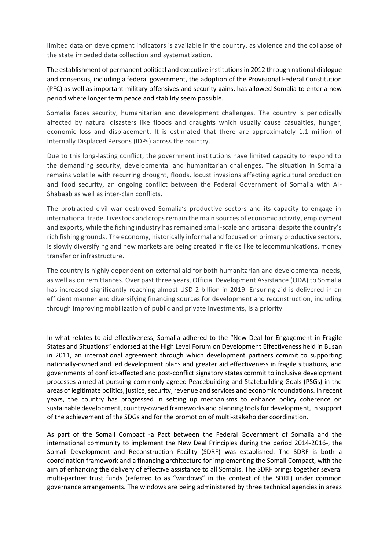limited data on development indicators is available in the country, as violence and the collapse of the state impeded data collection and systematization.

The establishment of permanent political and executive institutions in 2012 through national dialogue and consensus, including a federal government, the adoption of the Provisional Federal Constitution (PFC) as well as important military offensives and security gains, has allowed Somalia to enter a new period where longer term peace and stability seem possible.

Somalia faces security, humanitarian and development challenges. The country is periodically affected by natural disasters like floods and draughts which usually cause casualties, hunger, economic loss and displacement. It is estimated that there are approximately 1.1 million of Internally Displaced Persons (IDPs) across the country.

Due to this long-lasting conflict, the government institutions have limited capacity to respond to the demanding security, developmental and humanitarian challenges. The situation in Somalia remains volatile with recurring drought, floods, locust invasions affecting agricultural production and food security, an ongoing conflict between the Federal Government of Somalia with Al-Shabaab as well as inter-clan conflicts.

The protracted civil war destroyed Somalia's productive sectors and its capacity to engage in international trade. Livestock and crops remain the main sources of economic activity, employment and exports, while the fishing industry has remained small-scale and artisanal despite the country's rich fishing grounds. The economy, historically informal and focused on primary productive sectors, is slowly diversifying and new markets are being created in fields like telecommunications, money transfer or infrastructure.

The country is highly dependent on external aid for both humanitarian and developmental needs, as well as on remittances. Over past three years, Official Development Assistance (ODA) to Somalia has increased significantly reaching almost USD 2 billion in 2019. Ensuring aid is delivered in an efficient manner and diversifying financing sources for development and reconstruction, including through improving mobilization of public and private investments, is a priority.

In what relates to aid effectiveness, Somalia adhered to the "New Deal for Engagement in Fragile States and Situations" endorsed at the High Level Forum on Development Effectiveness held in Busan in 2011, an international agreement through which development partners commit to supporting nationally-owned and led development plans and greater aid effectiveness in fragile situations, and governments of conflict-affected and post-conflict signatory states commit to inclusive development processes aimed at pursuing commonly agreed Peacebuilding and Statebuilding Goals (PSGs) in the areas of legitimate politics, justice, security, revenue and services and economic foundations. In recent years, the country has progressed in setting up mechanisms to enhance policy coherence on sustainable development, country-owned frameworks and planning tools for development, in support of the achievement of the SDGs and for the promotion of multi-stakeholder coordination.

As part of the Somali Compact -a Pact between the Federal Government of Somalia and the international community to implement the New Deal Principles during the period 2014-2016-, the Somali Development and Reconstruction Facility (SDRF) was established. The SDRF is both a coordination framework and a financing architecture for implementing the Somali Compact, with the aim of enhancing the delivery of effective assistance to all Somalis. The SDRF brings together several multi-partner trust funds (referred to as "windows" in the context of the SDRF) under common governance arrangements. The windows are being administered by three technical agencies in areas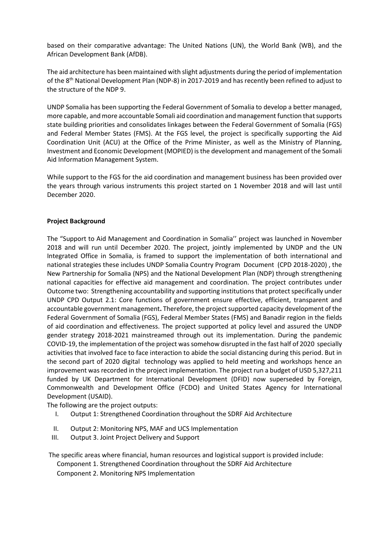based on their comparative advantage: The United Nations (UN), the World Bank (WB), and the African Development Bank (AfDB).

The aid architecture has been maintained with slight adjustments during the period of implementation of the 8<sup>th</sup> National Development Plan (NDP-8) in 2017-2019 and has recently been refined to adjust to the structure of the NDP 9.

UNDP Somalia has been supporting the Federal Government of Somalia to develop a better managed, more capable, and more accountable Somali aid coordination and management function that supports state building priorities and consolidates linkages between the Federal Government of Somalia (FGS) and Federal Member States (FMS). At the FGS level, the project is specifically supporting the Aid Coordination Unit (ACU) at the Office of the Prime Minister, as well as the Ministry of Planning, Investment and Economic Development (MOPIED) is the development and management of the Somali Aid Information Management System.

While support to the FGS for the aid coordination and management business has been provided over the years through various instruments this project started on 1 November 2018 and will last until December 2020.

## **Project Background**

The "Support to Aid Management and Coordination in Somalia'' project was launched in November 2018 and will run until December 2020. The project, jointly implemented by UNDP and the UN Integrated Office in Somalia, is framed to support the implementation of both international and national strategies these includes UNDP Somalia Country Program Document (CPD 2018-2020) , the New Partnership for Somalia (NPS) and the National Development Plan (NDP) through strengthening national capacities for effective aid management and coordination. The project contributes under Outcome two: Strengthening accountability and supporting institutions that protect specifically under UNDP CPD Output 2.1: Core functions of government ensure effective, efficient, transparent and accountable government management**.** Therefore, the projectsupported capacity development of the Federal Government of Somalia (FGS), Federal Member States (FMS) and Banadir region in the fields of aid coordination and effectiveness. The project supported at policy level and assured the UNDP gender strategy 2018-2021 mainstreamed through out its implementation. During the pandemic COVID-19, the implementation of the project was somehow disrupted in the fast half of 2020 specially activities that involved face to face interaction to abide the social distancing during this period. But in the second part of 2020 digital technology was applied to held meeting and workshops hence an improvement was recorded in the project implementation. The project run a budget of USD 5,327,211 funded by UK Department for International Development (DFID) now superseded by Foreign, Commonwealth and Development Office (FCDO) and United States Agency for International Development (USAID).

The following are the project outputs:

- I. Output 1: Strengthened Coordination throughout the SDRF Aid Architecture
- II. Output 2: Monitoring NPS, MAF and UCS Implementation
- III. Output 3. Joint Project Delivery and Support

The specific areas where financial, human resources and logistical support is provided include: Component 1. Strengthened Coordination throughout the SDRF Aid Architecture Component 2. Monitoring NPS Implementation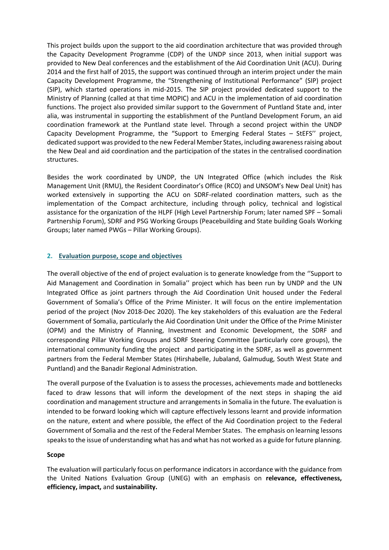This project builds upon the support to the aid coordination architecture that was provided through the Capacity Development Programme (CDP) of the UNDP since 2013, when initial support was provided to New Deal conferences and the establishment of the Aid Coordination Unit (ACU). During 2014 and the first half of 2015, the support was continued through an interim project under the main Capacity Development Programme, the "Strengthening of Institutional Performance" (SIP) project (SIP), which started operations in mid-2015. The SIP project provided dedicated support to the Ministry of Planning (called at that time MOPIC) and ACU in the implementation of aid coordination functions. The project also provided similar support to the Government of Puntland State and, inter alia, was instrumental in supporting the establishment of the Puntland Development Forum, an aid coordination framework at the Puntland state level. Through a second project within the UNDP Capacity Development Programme, the "Support to Emerging Federal States – StEFS'' project, dedicated support was provided to the new Federal Member States, including awareness raising about the New Deal and aid coordination and the participation of the states in the centralised coordination structures.

Besides the work coordinated by UNDP, the UN Integrated Office (which includes the Risk Management Unit (RMU), the Resident Coordinator's Office (RCO) and UNSOM's New Deal Unit) has worked extensively in supporting the ACU on SDRF-related coordination matters, such as the implementation of the Compact architecture, including through policy, technical and logistical assistance for the organization of the HLPF (High Level Partnership Forum; later named SPF – Somali Partnership Forum), SDRF and PSG Working Groups (Peacebuilding and State building Goals Working Groups; later named PWGs – Pillar Working Groups).

## **2. Evaluation purpose, scope and objectives**

The overall objective of the end of project evaluation is to generate knowledge from the ''Support to Aid Management and Coordination in Somalia'' project which has been run by UNDP and the UN Integrated Office as joint partners through the Aid Coordination Unit housed under the Federal Government of Somalia's Office of the Prime Minister. It will focus on the entire implementation period of the project (Nov 2018-Dec 2020). The key stakeholders of this evaluation are the Federal Government of Somalia, particularly the Aid Coordination Unit under the Office of the Prime Minister (OPM) and the Ministry of Planning, Investment and Economic Development, the SDRF and corresponding Pillar Working Groups and SDRF Steering Committee (particularly core groups), the international community funding the project and participating in the SDRF, as well as government partners from the Federal Member States (Hirshabelle, Jubaland, Galmudug, South West State and Puntland) and the Banadir Regional Administration.

The overall purpose of the Evaluation is to assess the processes, achievements made and bottlenecks faced to draw lessons that will inform the development of the next steps in shaping the aid coordination and management structure and arrangements in Somalia in the future. The evaluation is intended to be forward looking which will capture effectively lessons learnt and provide information on the nature, extent and where possible, the effect of the Aid Coordination project to the Federal Government of Somalia and the rest of the Federal Member States. The emphasis on learning lessons speaks to the issue of understanding what has and what has not worked as a guide for future planning.

## **Scope**

The evaluation will particularly focus on performance indicators in accordance with the guidance from the United Nations Evaluation Group (UNEG) with an emphasis on **relevance, effectiveness, efficiency, impact,** and **sustainability.**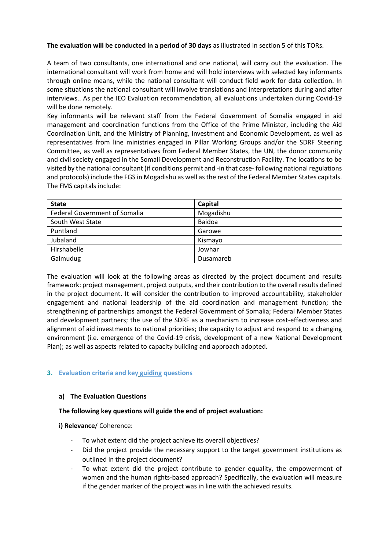## **The evaluation will be conducted in a period of 30 days** as illustrated in section 5 of this TORs.

A team of two consultants, one international and one national, will carry out the evaluation. The international consultant will work from home and will hold interviews with selected key informants through online means, while the national consultant will conduct field work for data collection. In some situations the national consultant will involve translations and interpretations during and after interviews.. As per the IEO Evaluation recommendation, all evaluations undertaken during Covid-19 will be done remotely.

Key informants will be relevant staff from the Federal Government of Somalia engaged in aid management and coordination functions from the Office of the Prime Minister, including the Aid Coordination Unit, and the Ministry of Planning, Investment and Economic Development, as well as representatives from line ministries engaged in Pillar Working Groups and/or the SDRF Steering Committee, as well as representatives from Federal Member States, the UN, the donor community and civil society engaged in the Somali Development and Reconstruction Facility. The locations to be visited by the national consultant (if conditions permit and -in that case- following national regulations and protocols) include the FGS in Mogadishu as well as the rest of the Federal Member States capitals. The FMS capitals include:

| <b>State</b>                         | Capital   |  |
|--------------------------------------|-----------|--|
| <b>Federal Government of Somalia</b> | Mogadishu |  |
| South West State                     | Baidoa    |  |
| Puntland                             | Garowe    |  |
| Jubaland                             | Kismayo   |  |
| Hirshabelle                          | Jowhar    |  |
| Galmudug                             | Dusamareb |  |

The evaluation will look at the following areas as directed by the project document and results framework: project management, project outputs, and their contribution to the overall results defined in the project document. It will consider the contribution to improved accountability, stakeholder engagement and national leadership of the aid coordination and management function; the strengthening of partnerships amongst the Federal Government of Somalia; Federal Member States and development partners; the use of the SDRF as a mechanism to increase cost-effectiveness and alignment of aid investments to national priorities; the capacity to adjust and respond to a changing environment (i.e. emergence of the Covid-19 crisis, development of a new National Development Plan); as well as aspects related to capacity building and approach adopted.

# **3. Evaluation criteria and key guiding questions**

## **a) The Evaluation Questions**

## **The following key questions will guide the end of project evaluation:**

**i) Relevance**/ Coherence:

- To what extent did the project achieve its overall objectives?
- Did the project provide the necessary support to the target government institutions as outlined in the project document?
- To what extent did the project contribute to gender equality, the empowerment of women and the human rights-based approach? Specifically, the evaluation will measure if the gender marker of the project was in line with the achieved results.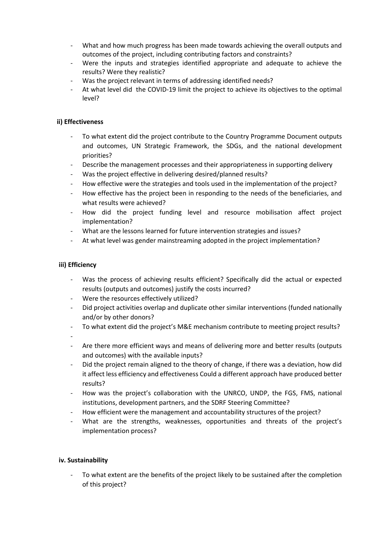- What and how much progress has been made towards achieving the overall outputs and outcomes of the project, including contributing factors and constraints?
- Were the inputs and strategies identified appropriate and adequate to achieve the results? Were they realistic?
- Was the project relevant in terms of addressing identified needs?
- At what level did the COVID-19 limit the project to achieve its objectives to the optimal level?

## **ii) Effectiveness**

- To what extent did the project contribute to the Country Programme Document outputs and outcomes, UN Strategic Framework, the SDGs, and the national development priorities?
- Describe the management processes and their appropriateness in supporting delivery
- Was the project effective in delivering desired/planned results?
- How effective were the strategies and tools used in the implementation of the project?
- How effective has the project been in responding to the needs of the beneficiaries, and what results were achieved?
- How did the project funding level and resource mobilisation affect project implementation?
- What are the lessons learned for future intervention strategies and issues?
- At what level was gender mainstreaming adopted in the project implementation?

## **iii) Efficiency**

- Was the process of achieving results efficient? Specifically did the actual or expected results (outputs and outcomes) justify the costs incurred?
- Were the resources effectively utilized?
- Did project activities overlap and duplicate other similar interventions (funded nationally and/or by other donors?
- To what extent did the project's M&E mechanism contribute to meeting project results?
- -
- Are there more efficient ways and means of delivering more and better results (outputs and outcomes) with the available inputs?
- Did the project remain aligned to the theory of change, if there was a deviation, how did it affect less efficiency and effectiveness Could a different approach have produced better results?
- How was the project's collaboration with the UNRCO, UNDP, the FGS, FMS, national institutions, development partners, and the SDRF Steering Committee?
- How efficient were the management and accountability structures of the project?
- What are the strengths, weaknesses, opportunities and threats of the project's implementation process?

## **iv. Sustainability**

To what extent are the benefits of the project likely to be sustained after the completion of this project?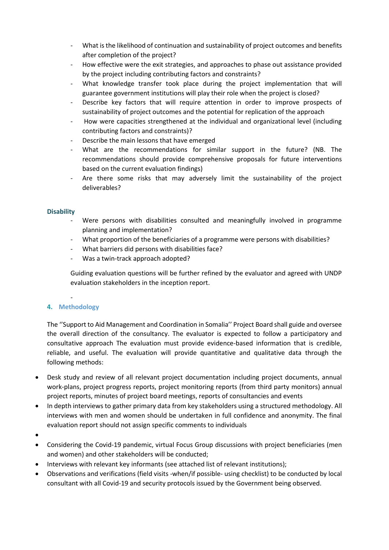- What is the likelihood of continuation and sustainability of project outcomes and benefits after completion of the project?
- How effective were the exit strategies, and approaches to phase out assistance provided by the project including contributing factors and constraints?
- What knowledge transfer took place during the project implementation that will guarantee government institutions will play their role when the project is closed?
- Describe key factors that will require attention in order to improve prospects of sustainability of project outcomes and the potential for replication of the approach
- How were capacities strengthened at the individual and organizational level (including contributing factors and constraints)?
- Describe the main lessons that have emerged
- What are the recommendations for similar support in the future? (NB. The recommendations should provide comprehensive proposals for future interventions based on the current evaluation findings)
- Are there some risks that may adversely limit the sustainability of the project deliverables?

## **Disability**

- Were persons with disabilities consulted and meaningfully involved in programme planning and implementation?
- What proportion of the beneficiaries of a programme were persons with disabilities?
- What barriers did persons with disabilities face?
- Was a twin-track approach adopted?

Guiding evaluation questions will be further refined by the evaluator and agreed with UNDP evaluation stakeholders in the inception report.

### - **4. Methodology**

The ''Support to Aid Management and Coordination in Somalia'' Project Board shall guide and oversee the overall direction of the consultancy. The evaluator is expected to follow a participatory and consultative approach The evaluation must provide evidence‐based information that is credible, reliable, and useful. The evaluation will provide quantitative and qualitative data through the following methods:

- Desk study and review of all relevant project documentation including project documents, annual work-plans, project progress reports, project monitoring reports (from third party monitors) annual project reports, minutes of project board meetings, reports of consultancies and events
- In depth interviews to gather primary data from key stakeholders using a structured methodology. All interviews with men and women should be undertaken in full confidence and anonymity. The final evaluation report should not assign specific comments to individuals
- •
- Considering the Covid-19 pandemic, virtual Focus Group discussions with project beneficiaries (men and women) and other stakeholders will be conducted;
- Interviews with relevant key informants (see attached list of relevant institutions);
- Observations and verifications (field visits -when/if possible- using checklist) to be conducted by local consultant with all Covid-19 and security protocols issued by the Government being observed.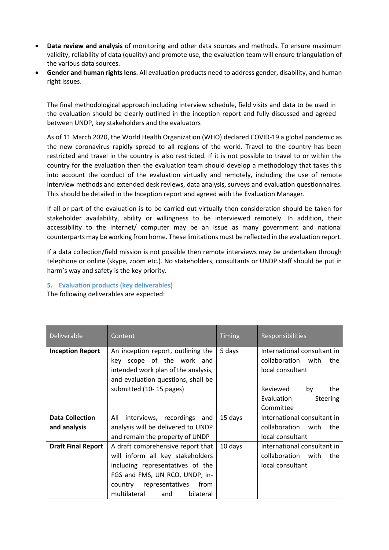- **Data review and analysis** of monitoring and other data sources and methods. To ensure maximum validity, reliability of data (quality) and promote use, the evaluation team will ensure triangulation of the various data sources.
- **Gender and human rights lens**. All evaluation products need to address gender, disability, and human right issues.

The final methodological approach including interview schedule, field visits and data to be used in the evaluation should be clearly outlined in the inception report and fully discussed and agreed between UNDP, key stakeholders and the evaluators

As of 11 March 2020, the World Health Organization (WHO) declared COVID-19 a global pandemic as the new coronavirus rapidly spread to all regions of the world. Travel to the country has been restricted and travel in the country is also restricted. If it is not possible to travel to or within the country for the evaluation then the evaluation team should develop a methodology that takes this into account the conduct of the evaluation virtually and remotely, including the use of remote interview methods and extended desk reviews, data analysis, surveys and evaluation questionnaires. This should be detailed in the Inception report and agreed with the Evaluation Manager.

If all or part of the evaluation is to be carried out virtually then consideration should be taken for stakeholder availability, ability or willingness to be interviewed remotely. In addition, their accessibility to the internet/ computer may be an issue as many government and national counterparts may be working from home. These limitations must be reflected in the evaluation report.

If a data collection/field mission is not possible then remote interviews may be undertaken through telephone or online (skype, zoom etc.). No stakeholders, consultants or UNDP staff should be put in harm's way and safety is the key priority.

**5. Evaluation products (key deliverables)** The following deliverables are expected:

| Deliverable               | Content                                                                                                                                                                                                               | <b>Timing</b> | <b>Responsibilities</b>                                                      |
|---------------------------|-----------------------------------------------------------------------------------------------------------------------------------------------------------------------------------------------------------------------|---------------|------------------------------------------------------------------------------|
| <b>Inception Report</b>   | An inception report, outlining the<br>key scope of the work and<br>intended work plan of the analysis,<br>and evaluation questions, shall be                                                                          | 5 days        | International consultant in<br>collaboration with<br>the<br>local consultant |
|                           | submitted (10-15 pages)                                                                                                                                                                                               |               | Reviewed<br>by<br>the<br>Evaluation<br>Steering<br>Committee                 |
| <b>Data Collection</b>    | All<br>interviews, recordings and                                                                                                                                                                                     | 15 days       | International consultant in                                                  |
| and analysis              | analysis will be delivered to UNDP                                                                                                                                                                                    |               | collaboration with<br>the                                                    |
|                           | and remain the property of UNDP                                                                                                                                                                                       |               | local consultant                                                             |
| <b>Draft Final Report</b> | A draft comprehensive report that<br>will inform all key stakeholders<br>including representatives of the<br>FGS and FMS, UN RCO, UNDP, in-<br>representatives<br>country<br>from<br>multilateral<br>and<br>bilateral | 10 days       | International consultant in<br>collaboration with<br>the<br>local consultant |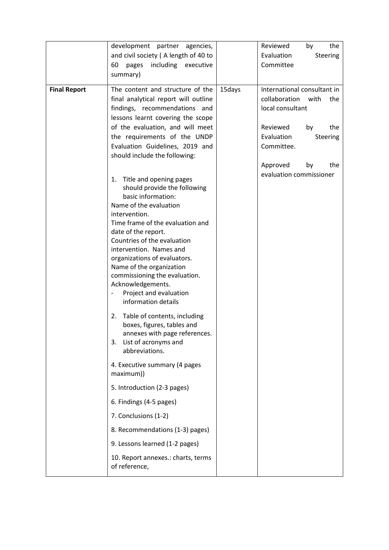|                     | development partner agencies,                               |        | Reviewed<br>by<br>the         |
|---------------------|-------------------------------------------------------------|--------|-------------------------------|
|                     | and civil society (A length of 40 to                        |        | Evaluation<br><b>Steering</b> |
|                     | 60<br>pages<br>including executive                          |        | Committee                     |
|                     | summary)                                                    |        |                               |
| <b>Final Report</b> | The content and structure of the                            | 15days | International consultant in   |
|                     | final analytical report will outline                        |        | collaboration<br>with<br>the  |
|                     | findings, recommendations and                               |        | local consultant              |
|                     | lessons learnt covering the scope                           |        |                               |
|                     | of the evaluation, and will meet                            |        |                               |
|                     |                                                             |        | Reviewed<br>by<br>the         |
|                     | the requirements of the UNDP                                |        | Evaluation<br>Steering        |
|                     | Evaluation Guidelines, 2019 and                             |        | Committee.                    |
|                     | should include the following:                               |        |                               |
|                     |                                                             |        | Approved<br>the<br>by         |
|                     | 1. Title and opening pages                                  |        | evaluation commissioner       |
|                     | should provide the following                                |        |                               |
|                     | basic information:                                          |        |                               |
|                     | Name of the evaluation                                      |        |                               |
|                     | intervention.                                               |        |                               |
|                     | Time frame of the evaluation and                            |        |                               |
|                     | date of the report.                                         |        |                               |
|                     | Countries of the evaluation                                 |        |                               |
|                     | intervention. Names and                                     |        |                               |
|                     | organizations of evaluators.                                |        |                               |
|                     | Name of the organization                                    |        |                               |
|                     | commissioning the evaluation.                               |        |                               |
|                     | Acknowledgements.                                           |        |                               |
|                     | Project and evaluation                                      |        |                               |
|                     | information details                                         |        |                               |
|                     |                                                             |        |                               |
|                     | Table of contents, including<br>2.                          |        |                               |
|                     | boxes, figures, tables and<br>annexes with page references. |        |                               |
|                     | List of acronyms and<br>3.                                  |        |                               |
|                     | abbreviations.                                              |        |                               |
|                     |                                                             |        |                               |
|                     | 4. Executive summary (4 pages                               |        |                               |
|                     | maximum))                                                   |        |                               |
|                     | 5. Introduction (2-3 pages)                                 |        |                               |
|                     | 6. Findings (4-5 pages)                                     |        |                               |
|                     | 7. Conclusions (1-2)                                        |        |                               |
|                     | 8. Recommendations (1-3) pages)                             |        |                               |
|                     | 9. Lessons learned (1-2 pages)                              |        |                               |
|                     | 10. Report annexes.: charts, terms<br>of reference,         |        |                               |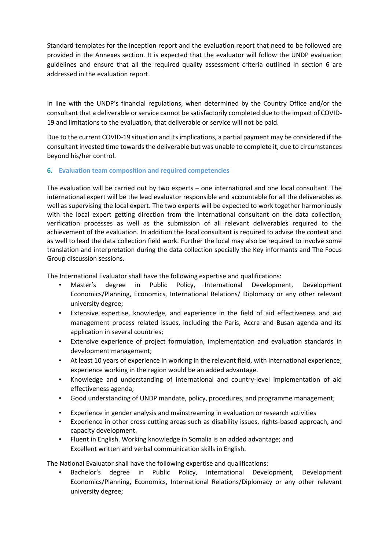Standard templates for the inception report and the evaluation report that need to be followed are provided in the Annexes section. It is expected that the evaluator will follow the UNDP evaluation guidelines and ensure that all the required quality assessment criteria outlined in section 6 are addressed in the evaluation report.

In line with the UNDP's financial regulations, when determined by the Country Office and/or the consultant that a deliverable or service cannot be satisfactorily completed due to the impact of COVID-19 and limitations to the evaluation, that deliverable or service will not be paid.

Due to the current COVID-19 situation and its implications, a partial payment may be considered if the consultant invested time towards the deliverable but was unable to complete it, due to circumstances beyond his/her control.

## **6. Evaluation team composition and required competencies**

The evaluation will be carried out by two experts – one international and one local consultant. The international expert will be the lead evaluator responsible and accountable for all the deliverables as well as supervising the local expert. The two experts will be expected to work together harmoniously with the local expert getting direction from the international consultant on the data collection, verification processes as well as the submission of all relevant deliverables required to the achievement of the evaluation. In addition the local consultant is required to advise the context and as well to lead the data collection field work. Further the local may also be required to involve some translation and interpretation during the data collection specially the Key informants and The Focus Group discussion sessions.

The International Evaluator shall have the following expertise and qualifications:

- Master's degree in Public Policy, International Development, Development Economics/Planning, Economics, International Relations/ Diplomacy or any other relevant university degree;
- Extensive expertise, knowledge, and experience in the field of aid effectiveness and aid management process related issues, including the Paris, Accra and Busan agenda and its application in several countries;
- Extensive experience of project formulation, implementation and evaluation standards in development management;
- At least 10 years of experience in working in the relevant field, with international experience; experience working in the region would be an added advantage.
- Knowledge and understanding of international and country-level implementation of aid effectiveness agenda;
- Good understanding of UNDP mandate, policy, procedures, and programme management;
- Experience in gender analysis and mainstreaming in evaluation or research activities
- Experience in other cross-cutting areas such as disability issues, rights-based approach, and capacity development.
- Fluent in English. Working knowledge in Somalia is an added advantage; and Excellent written and verbal communication skills in English.

The National Evaluator shall have the following expertise and qualifications:

• Bachelor's degree in Public Policy, International Development, Development Economics/Planning, Economics, International Relations/Diplomacy or any other relevant university degree;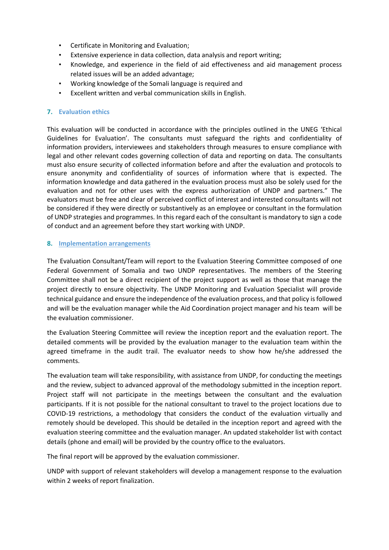- Certificate in Monitoring and Evaluation;
- Extensive experience in data collection, data analysis and report writing;
- Knowledge, and experience in the field of aid effectiveness and aid management process related issues will be an added advantage;
- Working knowledge of the Somali language is required and
- Excellent written and verbal communication skills in English.

## **7. Evaluation ethics**

This evaluation will be conducted in accordance with the principles outlined in the UNEG 'Ethical Guidelines for Evaluation'. The consultants must safeguard the rights and confidentiality of information providers, interviewees and stakeholders through measures to ensure compliance with legal and other relevant codes governing collection of data and reporting on data. The consultants must also ensure security of collected information before and after the evaluation and protocols to ensure anonymity and confidentiality of sources of information where that is expected. The information knowledge and data gathered in the evaluation process must also be solely used for the evaluation and not for other uses with the express authorization of UNDP and partners." The evaluators must be free and clear of perceived conflict of interest and interested consultants will not be considered if they were directly or substantively as an employee or consultant in the formulation of UNDP strategies and programmes. In this regard each of the consultant is mandatory to sign a code of conduct and an agreement before they start working with UNDP.

## **8. Implementation arrangements**

The Evaluation Consultant/Team will report to the Evaluation Steering Committee composed of one Federal Government of Somalia and two UNDP representatives. The members of the Steering Committee shall not be a direct recipient of the project support as well as those that manage the project directly to ensure objectivity. The UNDP Monitoring and Evaluation Specialist will provide technical guidance and ensure the independence of the evaluation process, and that policy is followed and will be the evaluation manager while the Aid Coordination project manager and his team will be the evaluation commissioner.

the Evaluation Steering Committee will review the inception report and the evaluation report. The detailed comments will be provided by the evaluation manager to the evaluation team within the agreed timeframe in the audit trail. The evaluator needs to show how he/she addressed the comments.

The evaluation team will take responsibility, with assistance from UNDP, for conducting the meetings and the review, subject to advanced approval of the methodology submitted in the inception report. Project staff will not participate in the meetings between the consultant and the evaluation participants. If it is not possible for the national consultant to travel to the project locations due to COVID-19 restrictions, a methodology that considers the conduct of the evaluation virtually and remotely should be developed. This should be detailed in the inception report and agreed with the evaluation steering committee and the evaluation manager. An updated stakeholder list with contact details (phone and email) will be provided by the country office to the evaluators.

The final report will be approved by the evaluation commissioner.

UNDP with support of relevant stakeholders will develop a management response to the evaluation within 2 weeks of report finalization.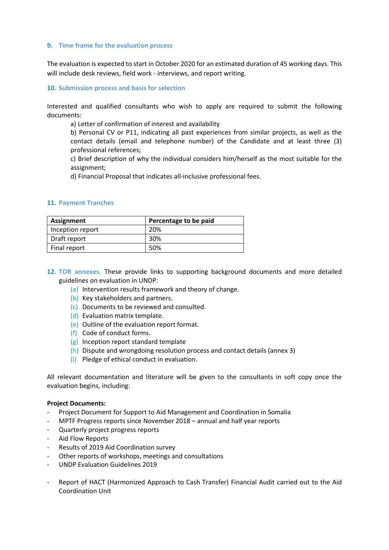### **9. Time frame for the evaluation process**

The evaluation is expected to start in October 2020 for an estimated duration of 45 working days. This will include desk reviews, field work - interviews, and report writing.

### **10. Submission process and basis for selection**

Interested and qualified consultants who wish to apply are required to submit the following documents:

a) Letter of confirmation of interest and availability

b) Personal CV or P11, indicating all past experiences from similar projects, as well as the contact details (email and telephone number) of the Candidate and at least three (3) professional references;

c) Brief description of why the individual considers him/herself as the most suitable for the assignment;

d) Financial Proposal that indicates all‐inclusive professional fees.

#### **11. Payment Tranches**

| Assignment       | Percentage to be paid |
|------------------|-----------------------|
| Inception report | 20%                   |
| Draft report     | 30%                   |
| Final report     | 50%                   |

- **12. TOR annexes.** These provide links to supporting background documents and more detailed guidelines on evaluation in UNDP:
	- (a) Intervention results framework and theory of change.
	- (b) Key stakeholders and partners.
	- (c) Documents to be reviewed and consulted.
	- (d) Evaluation matrix template.
	- (e) Outline of the evaluation report format.
	- (f) Code of conduct forms.
	- (g) Inception report standard template
	- (h) Dispute and wrongdoing resolution process and contact details (annex 3)
	- (i) Pledge of ethical conduct in evaluation.

All relevant documentation and literature will be given to the consultants in soft copy once the evaluation begins, including:

#### **Project Documents:**

- Project Document for Support to Aid Management and Coordination in Somalia
- MPTF Progress reports since November 2018 annual and half year reports
- Quarterly project progress reports
- Aid Flow Reports
- Results of 2019 Aid Coordination survey
- Other reports of workshops, meetings and consultations
- UNDP Evaluation Guidelines 2019
- Report of HACT (Harmonized Approach to Cash Transfer) Financial Audit carried out to the Aid Coordination Unit